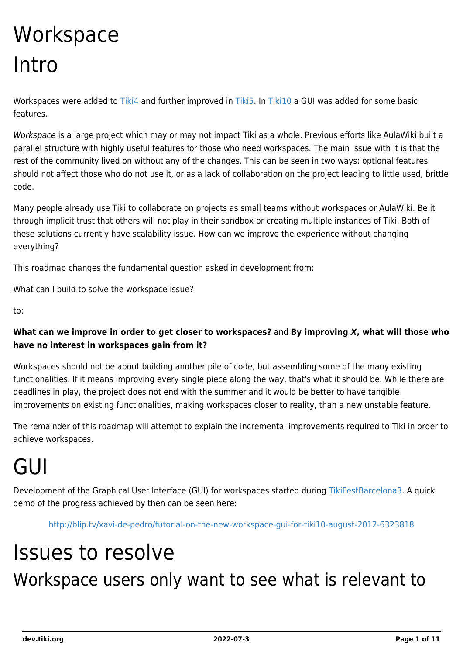# **Workspace** Intro

Workspaces were added to [Tiki4](https://dev.tiki.org/Tiki4) and further improved in [Tiki5](https://dev.tiki.org/Tiki5). In [Tiki10](https://dev.tiki.org/Tiki10) a GUI was added for some basic features.

Workspace is a large project which may or may not impact Tiki as a whole. Previous efforts like AulaWiki built a parallel structure with highly useful features for those who need workspaces. The main issue with it is that the rest of the community lived on without any of the changes. This can be seen in two ways: optional features should not affect those who do not use it, or as a lack of collaboration on the project leading to little used, brittle code.

Many people already use Tiki to collaborate on projects as small teams without workspaces or AulaWiki. Be it through implicit trust that others will not play in their sandbox or creating multiple instances of Tiki. Both of these solutions currently have scalability issue. How can we improve the experience without changing everything?

This roadmap changes the fundamental question asked in development from:

What can I build to solve the workspace issue?

to:

#### **What can we improve in order to get closer to workspaces?** and **By improving** *X***, what will those who have no interest in workspaces gain from it?**

Workspaces should not be about building another pile of code, but assembling some of the many existing functionalities. If it means improving every single piece along the way, that's what it should be. While there are deadlines in play, the project does not end with the summer and it would be better to have tangible improvements on existing functionalities, making workspaces closer to reality, than a new unstable feature.

The remainder of this roadmap will attempt to explain the incremental improvements required to Tiki in order to achieve workspaces.

# GUI

Development of the Graphical User Interface (GUI) for workspaces started during [TikiFestBarcelona3.](http://tiki.org/TikiFestBarcelona3) A quick demo of the progress achieved by then can be seen here:

<http://blip.tv/xavi-de-pedro/tutorial-on-the-new-workspace-gui-for-tiki10-august-2012-6323818>

## Issues to resolve Workspace users only want to see what is relevant to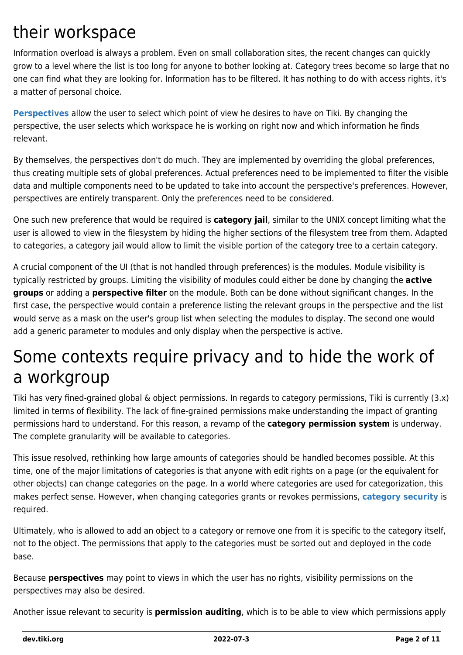### their workspace

Information overload is always a problem. Even on small collaboration sites, the recent changes can quickly grow to a level where the list is too long for anyone to bother looking at. Category trees become so large that no one can find what they are looking for. Information has to be filtered. It has nothing to do with access rights, it's a matter of personal choice.

**[Perspectives](https://dev.tiki.org/Perspectives)** allow the user to select which point of view he desires to have on Tiki. By changing the perspective, the user selects which workspace he is working on right now and which information he finds relevant.

By themselves, the perspectives don't do much. They are implemented by overriding the global preferences, thus creating multiple sets of global preferences. Actual preferences need to be implemented to filter the visible data and multiple components need to be updated to take into account the perspective's preferences. However, perspectives are entirely transparent. Only the preferences need to be considered.

One such new preference that would be required is **category jail**, similar to the UNIX concept limiting what the user is allowed to view in the filesystem by hiding the higher sections of the filesystem tree from them. Adapted to categories, a category jail would allow to limit the visible portion of the category tree to a certain category.

A crucial component of the UI (that is not handled through preferences) is the modules. Module visibility is typically restricted by groups. Limiting the visibility of modules could either be done by changing the **active groups** or adding a **perspective filter** on the module. Both can be done without significant changes. In the first case, the perspective would contain a preference listing the relevant groups in the perspective and the list would serve as a mask on the user's group list when selecting the modules to display. The second one would add a generic parameter to modules and only display when the perspective is active.

### Some contexts require privacy and to hide the work of a workgroup

Tiki has very fined-grained global & object permissions. In regards to category permissions, Tiki is currently (3.x) limited in terms of flexibility. The lack of fine-grained permissions make understanding the impact of granting permissions hard to understand. For this reason, a revamp of the **category permission system** is underway. The complete granularity will be available to categories.

This issue resolved, rethinking how large amounts of categories should be handled becomes possible. At this time, one of the major limitations of categories is that anyone with edit rights on a page (or the equivalent for other objects) can change categories on the page. In a world where categories are used for categorization, this makes perfect sense. However, when changing categories grants or revokes permissions, **[category security](https://dev.tiki.org/Workspace#Category_security)** is required.

Ultimately, who is allowed to add an object to a category or remove one from it is specific to the category itself, not to the object. The permissions that apply to the categories must be sorted out and deployed in the code base.

Because **perspectives** may point to views in which the user has no rights, visibility permissions on the perspectives may also be desired.

Another issue relevant to security is **permission auditing**, which is to be able to view which permissions apply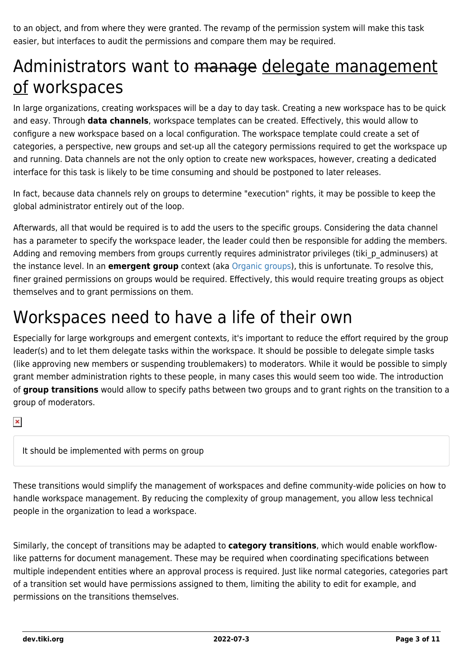to an object, and from where they were granted. The revamp of the permission system will make this task easier, but interfaces to audit the permissions and compare them may be required.

### Administrators want to manage delegate management of workspaces

In large organizations, creating workspaces will be a day to day task. Creating a new workspace has to be quick and easy. Through **data channels**, workspace templates can be created. Effectively, this would allow to configure a new workspace based on a local configuration. The workspace template could create a set of categories, a perspective, new groups and set-up all the category permissions required to get the workspace up and running. Data channels are not the only option to create new workspaces, however, creating a dedicated interface for this task is likely to be time consuming and should be postponed to later releases.

In fact, because data channels rely on groups to determine "execution" rights, it may be possible to keep the global administrator entirely out of the loop.

Afterwards, all that would be required is to add the users to the specific groups. Considering the data channel has a parameter to specify the workspace leader, the leader could then be responsible for adding the members. Adding and removing members from groups currently requires administrator privileges (tiki p adminusers) at the instance level. In an **emergent group** context (aka [Organic groups](https://dev.tiki.org/Organic-Groups)), this is unfortunate. To resolve this, finer grained permissions on groups would be required. Effectively, this would require treating groups as object themselves and to grant permissions on them.

### Workspaces need to have a life of their own

Especially for large workgroups and emergent contexts, it's important to reduce the effort required by the group leader(s) and to let them delegate tasks within the workspace. It should be possible to delegate simple tasks (like approving new members or suspending troublemakers) to moderators. While it would be possible to simply grant member administration rights to these people, in many cases this would seem too wide. The introduction of **group transitions** would allow to specify paths between two groups and to grant rights on the transition to a group of moderators.

 $\pmb{\times}$ 

It should be implemented with perms on group

These transitions would simplify the management of workspaces and define community-wide policies on how to handle workspace management. By reducing the complexity of group management, you allow less technical people in the organization to lead a workspace.

Similarly, the concept of transitions may be adapted to **category transitions**, which would enable workflowlike patterns for document management. These may be required when coordinating specifications between multiple independent entities where an approval process is required. Just like normal categories, categories part of a transition set would have permissions assigned to them, limiting the ability to edit for example, and permissions on the transitions themselves.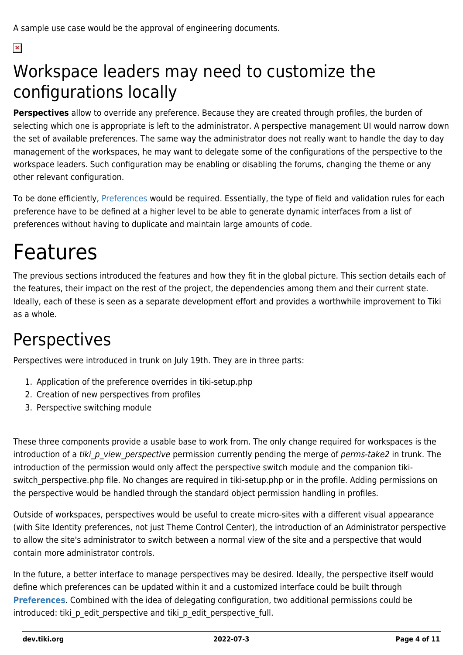$\pmb{\times}$ 

### Workspace leaders may need to customize the configurations locally

**Perspectives** allow to override any preference. Because they are created through profiles, the burden of selecting which one is appropriate is left to the administrator. A perspective management UI would narrow down the set of available preferences. The same way the administrator does not really want to handle the day to day management of the workspaces, he may want to delegate some of the configurations of the perspective to the workspace leaders. Such configuration may be enabling or disabling the forums, changing the theme or any other relevant configuration.

To be done efficiently, [Preferences](https://dev.tiki.org/Preferences) would be required. Essentially, the type of field and validation rules for each preference have to be defined at a higher level to be able to generate dynamic interfaces from a list of preferences without having to duplicate and maintain large amounts of code.

## Features

The previous sections introduced the features and how they fit in the global picture. This section details each of the features, their impact on the rest of the project, the dependencies among them and their current state. Ideally, each of these is seen as a separate development effort and provides a worthwhile improvement to Tiki as a whole.

### Perspectives

Perspectives were introduced in trunk on July 19th. They are in three parts:

- 1. Application of the preference overrides in tiki-setup.php
- 2. Creation of new perspectives from profiles
- 3. Perspective switching module

These three components provide a usable base to work from. The only change required for workspaces is the introduction of a tiki p view perspective permission currently pending the merge of perms-take2 in trunk. The introduction of the permission would only affect the perspective switch module and the companion tikiswitch perspective.php file. No changes are required in tiki-setup.php or in the profile. Adding permissions on the perspective would be handled through the standard object permission handling in profiles.

Outside of workspaces, perspectives would be useful to create micro-sites with a different visual appearance (with Site Identity preferences, not just Theme Control Center), the introduction of an Administrator perspective to allow the site's administrator to switch between a normal view of the site and a perspective that would contain more administrator controls.

In the future, a better interface to manage perspectives may be desired. Ideally, the perspective itself would define which preferences can be updated within it and a customized interface could be built through **[Preferences](https://dev.tiki.org/Preferences)**. Combined with the idea of delegating configuration, two additional permissions could be introduced: tiki p edit perspective and tiki p edit perspective full.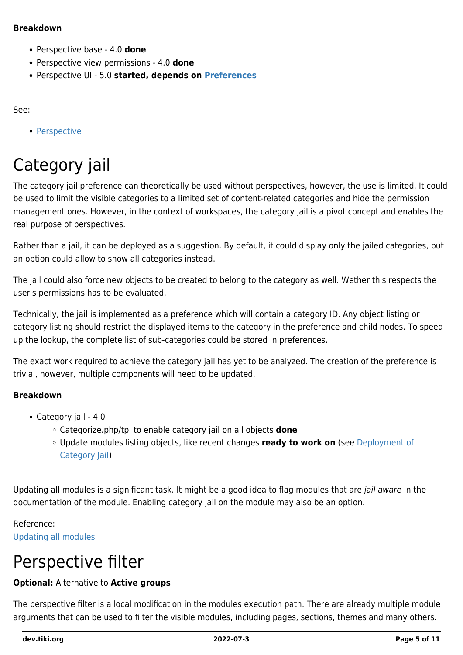#### **Breakdown**

- Perspective base 4.0 **done**
- Perspective view permissions 4.0 **done**
- Perspective UI 5.0 **started, depends on [Preferences](https://dev.tiki.org/Preferences)**

#### See:

• [Perspective](https://dev.tiki.org/Perspective)

### Category jail

The category jail preference can theoretically be used without perspectives, however, the use is limited. It could be used to limit the visible categories to a limited set of content-related categories and hide the permission management ones. However, in the context of workspaces, the category jail is a pivot concept and enables the real purpose of perspectives.

Rather than a jail, it can be deployed as a suggestion. By default, it could display only the jailed categories, but an option could allow to show all categories instead.

The jail could also force new objects to be created to belong to the category as well. Wether this respects the user's permissions has to be evaluated.

Technically, the jail is implemented as a preference which will contain a category ID. Any object listing or category listing should restrict the displayed items to the category in the preference and child nodes. To speed up the lookup, the complete list of sub-categories could be stored in preferences.

The exact work required to achieve the category jail has yet to be analyzed. The creation of the preference is trivial, however, multiple components will need to be updated.

#### **Breakdown**

- Category jail 4.0
	- Categorize.php/tpl to enable category jail on all objects **done**
	- Update modules listing objects, like recent changes **ready to work on** (see [Deployment of](https://dev.tiki.org/Deployment-of-Category-Jail) [Category Jail\)](https://dev.tiki.org/Deployment-of-Category-Jail)

Updating all modules is a significant task. It might be a good idea to flag modules that are jail aware in the documentation of the module. Enabling category jail on the module may also be an option.

#### Reference: [Updating all modules](https://dev.tiki.org/Modules)

### Perspective filter

#### **Optional:** Alternative to **Active groups**

The perspective filter is a local modification in the modules execution path. There are already multiple module arguments that can be used to filter the visible modules, including pages, sections, themes and many others.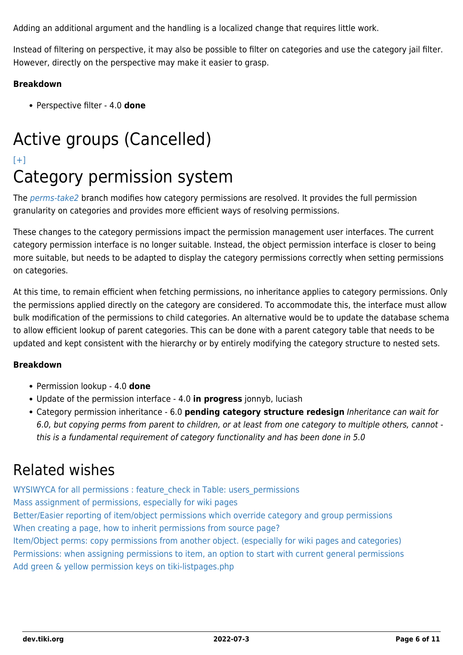Adding an additional argument and the handling is a localized change that requires little work.

Instead of filtering on perspective, it may also be possible to filter on categories and use the category jail filter. However, directly on the perspective may make it easier to grasp.

#### **Breakdown**

Perspective filter - 4.0 **done**

### Active groups (Cancelled)

### $[+]$

### Category permission system

The [perms-take2](https://dev.tiki.org/Permission-Revamp) branch modifies how category permissions are resolved. It provides the full permission granularity on categories and provides more efficient ways of resolving permissions.

These changes to the category permissions impact the permission management user interfaces. The current category permission interface is no longer suitable. Instead, the object permission interface is closer to being more suitable, but needs to be adapted to display the category permissions correctly when setting permissions on categories.

At this time, to remain efficient when fetching permissions, no inheritance applies to category permissions. Only the permissions applied directly on the category are considered. To accommodate this, the interface must allow bulk modification of the permissions to child categories. An alternative would be to update the database schema to allow efficient lookup of parent categories. This can be done with a parent category table that needs to be updated and kept consistent with the hierarchy or by entirely modifying the category structure to nested sets.

#### **Breakdown**

- Permission lookup 4.0 **done**
- Update of the permission interface 4.0 **in progress** jonnyb, luciash
- Category permission inheritance 6.0 **pending category structure redesign** Inheritance can wait for 6.0, but copying perms from parent to children, or at least from one category to multiple others, cannot this is a fundamental requirement of category functionality and has been done in 5.0

### Related wishes

[WYSIWYCA for all permissions : feature\\_check in Table: users\\_permissions](https://dev.tiki.org/wish2081) [Mass assignment of permissions, especially for wiki pages](https://dev.tiki.org/wish2586) [Better/Easier reporting of item/object permissions which override category and group permissions](https://dev.tiki.org/wish2151) [When creating a page, how to inherit permissions from source page?](https://dev.tiki.org/wish2133) [Item/Object perms: copy permissions from another object. \(especially for wiki pages and categories\)](https://dev.tiki.org/wish2587) [Permissions: when assigning permissions to item, an option to start with current general permissions](https://dev.tiki.org/wish1820) [Add green & yellow permission keys on tiki-listpages.php](https://dev.tiki.org/wish1477)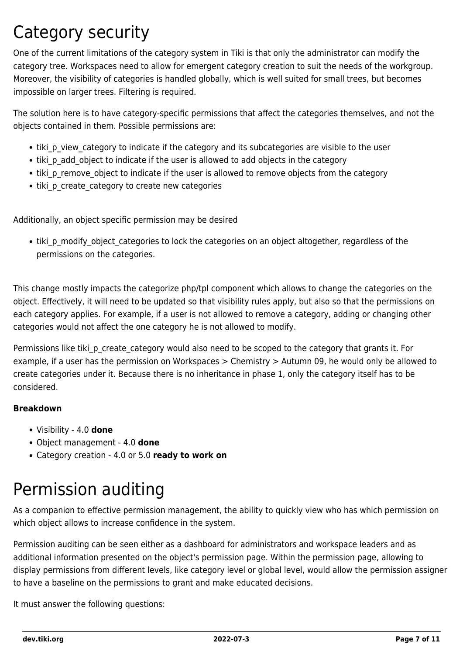### Category security

One of the current limitations of the category system in Tiki is that only the administrator can modify the category tree. Workspaces need to allow for emergent category creation to suit the needs of the workgroup. Moreover, the visibility of categories is handled globally, which is well suited for small trees, but becomes impossible on larger trees. Filtering is required.

The solution here is to have category-specific permissions that affect the categories themselves, and not the objects contained in them. Possible permissions are:

- tiki p view category to indicate if the category and its subcategories are visible to the user
- tiki p add object to indicate if the user is allowed to add objects in the category
- tiki p remove object to indicate if the user is allowed to remove objects from the category
- tiki p create category to create new categories

Additionally, an object specific permission may be desired

• tiki p\_modify\_object\_categories to lock the categories on an object altogether, regardless of the permissions on the categories.

This change mostly impacts the categorize php/tpl component which allows to change the categories on the object. Effectively, it will need to be updated so that visibility rules apply, but also so that the permissions on each category applies. For example, if a user is not allowed to remove a category, adding or changing other categories would not affect the one category he is not allowed to modify.

Permissions like tiki\_p\_create\_category would also need to be scoped to the category that grants it. For example, if a user has the permission on Workspaces > Chemistry > Autumn 09, he would only be allowed to create categories under it. Because there is no inheritance in phase 1, only the category itself has to be considered.

#### **Breakdown**

- Visibility 4.0 **done**
- Object management 4.0 **done**
- Category creation 4.0 or 5.0 **ready to work on**

### Permission auditing

As a companion to effective permission management, the ability to quickly view who has which permission on which object allows to increase confidence in the system.

Permission auditing can be seen either as a dashboard for administrators and workspace leaders and as additional information presented on the object's permission page. Within the permission page, allowing to display permissions from different levels, like category level or global level, would allow the permission assigner to have a baseline on the permissions to grant and make educated decisions.

It must answer the following questions: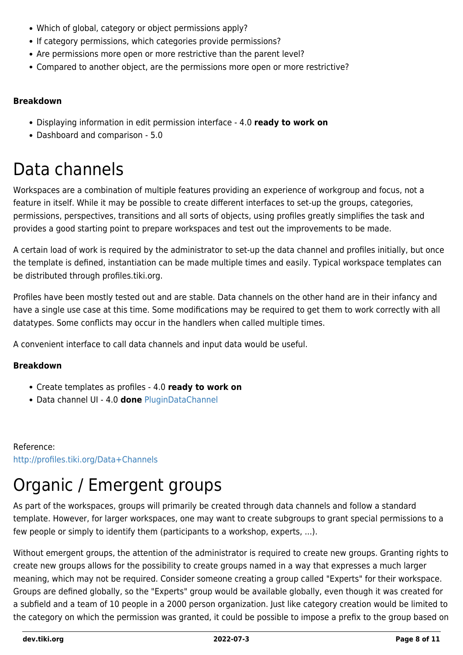- Which of global, category or object permissions apply?
- If category permissions, which categories provide permissions?
- Are permissions more open or more restrictive than the parent level?
- Compared to another object, are the permissions more open or more restrictive?

#### **Breakdown**

- Displaying information in edit permission interface 4.0 **ready to work on**
- Dashboard and comparison 5.0

### Data channels

Workspaces are a combination of multiple features providing an experience of workgroup and focus, not a feature in itself. While it may be possible to create different interfaces to set-up the groups, categories, permissions, perspectives, transitions and all sorts of objects, using profiles greatly simplifies the task and provides a good starting point to prepare workspaces and test out the improvements to be made.

A certain load of work is required by the administrator to set-up the data channel and profiles initially, but once the template is defined, instantiation can be made multiple times and easily. Typical workspace templates can be distributed through profiles.tiki.org.

Profiles have been mostly tested out and are stable. Data channels on the other hand are in their infancy and have a single use case at this time. Some modifications may be required to get them to work correctly with all datatypes. Some conflicts may occur in the handlers when called multiple times.

A convenient interface to call data channels and input data would be useful.

#### **Breakdown**

- Create templates as profiles 4.0 **ready to work on**
- Data channel UI 4.0 **done** [PluginDataChannel](http://doc.tiki.org/PluginDataChannel)

Reference: <http://profiles.tiki.org/Data+Channels>

## Organic / Emergent groups

As part of the workspaces, groups will primarily be created through data channels and follow a standard template. However, for larger workspaces, one may want to create subgroups to grant special permissions to a few people or simply to identify them (participants to a workshop, experts, ...).

Without emergent groups, the attention of the administrator is required to create new groups. Granting rights to create new groups allows for the possibility to create groups named in a way that expresses a much larger meaning, which may not be required. Consider someone creating a group called "Experts" for their workspace. Groups are defined globally, so the "Experts" group would be available globally, even though it was created for a subfield and a team of 10 people in a 2000 person organization. Just like category creation would be limited to the category on which the permission was granted, it could be possible to impose a prefix to the group based on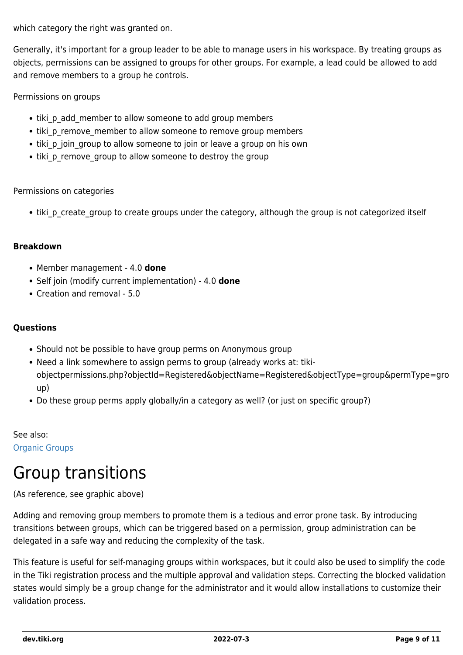which category the right was granted on.

Generally, it's important for a group leader to be able to manage users in his workspace. By treating groups as objects, permissions can be assigned to groups for other groups. For example, a lead could be allowed to add and remove members to a group he controls.

Permissions on groups

- tiki p add member to allow someone to add group members
- tiki p remove member to allow someone to remove group members
- tiki p join group to allow someone to join or leave a group on his own
- tiki p remove group to allow someone to destroy the group

#### Permissions on categories

• tiki p create group to create groups under the category, although the group is not categorized itself

#### **Breakdown**

- Member management 4.0 **done**
- Self join (modify current implementation) 4.0 **done**
- Creation and removal 5.0

#### **Questions**

- Should not be possible to have group perms on Anonymous group
- Need a link somewhere to assign perms to group (already works at: tikiobjectpermissions.php?objectId=Registered&objectName=Registered&objectType=group&permType=gro up)
- Do these group perms apply globally/in a category as well? (or just on specific group?)

See also: [Organic Groups](https://dev.tiki.org/Organic-Groups)

### Group transitions

(As reference, see graphic above)

Adding and removing group members to promote them is a tedious and error prone task. By introducing transitions between groups, which can be triggered based on a permission, group administration can be delegated in a safe way and reducing the complexity of the task.

This feature is useful for self-managing groups within workspaces, but it could also be used to simplify the code in the Tiki registration process and the multiple approval and validation steps. Correcting the blocked validation states would simply be a group change for the administrator and it would allow installations to customize their validation process.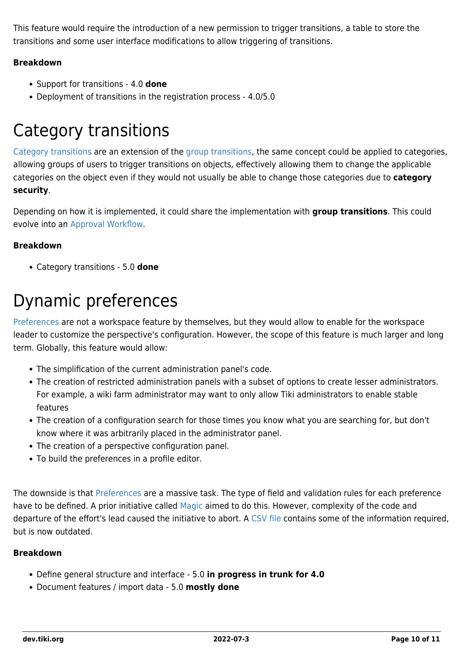This feature would require the introduction of a new permission to trigger transitions, a table to store the transitions and some user interface modifications to allow triggering of transitions.

#### **Breakdown**

- Support for transitions 4.0 **done**
- Deployment of transitions in the registration process 4.0/5.0

### Category transitions

[Category transitions](https://dev.tiki.org/Category-Transitions) are an extension of the [group transitions,](https://dev.tiki.org/Group-Transitions) the same concept could be applied to categories, allowing groups of users to trigger transitions on objects, effectively allowing them to change the applicable categories on the object even if they would not usually be able to change those categories due to **category security**.

Depending on how it is implemented, it could share the implementation with **group transitions**. This could evolve into an [Approval Workflow.](https://dev.tiki.org/Approval-Workflow)

#### **Breakdown**

Category transitions - 5.0 **done**

### Dynamic preferences

[Preferences](https://dev.tiki.org/Preferences) are not a workspace feature by themselves, but they would allow to enable for the workspace leader to customize the perspective's configuration. However, the scope of this feature is much larger and long term. Globally, this feature would allow:

- The simplification of the current administration panel's code.
- The creation of restricted administration panels with a subset of options to create lesser administrators. For example, a wiki farm administrator may want to only allow Tiki administrators to enable stable features
- The creation of a configuration search for those times you know what you are searching for, but don't know where it was arbitrarily placed in the administrator panel.
- The creation of a perspective configuration panel.
- To build the preferences in a profile editor.

The downside is that [Preferences](https://dev.tiki.org/Preferences) are a massive task. The type of field and validation rules for each preference have to be defined. A prior initiative called [Magic](https://dev.tiki.org/Magic) aimed to do this. However, complexity of the code and departure of the effort's lead caused the initiative to abort. A [CSV file](http://tikiwiki.svn.sourceforge.net/viewvc/tikiwiki/branches/3.0/db/features.csv?view=markup) contains some of the information required, but is now outdated.

#### **Breakdown**

- Define general structure and interface 5.0 **in progress in trunk for 4.0**
- Document features / import data 5.0 **mostly done**